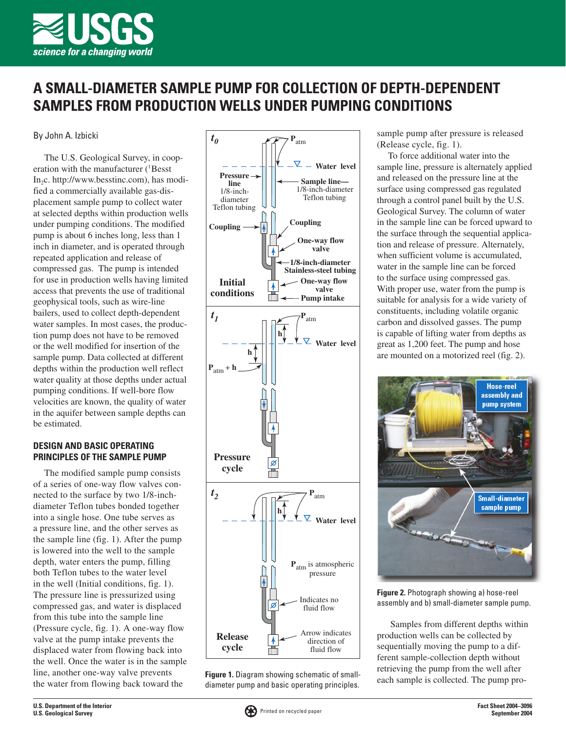

## A SMALL-DIAMETER SAMPLE PUMP FOR COLLECTION OF DEPTH-DEPENDENT SAMPLES FROM PRODUCTION WELLS UNDER PUMPING CONDITIONS

By John A. Izbicki

The U.S. Geological Survey, in cooperation with the manufacturer (<sup>1</sup>Besst  $In_2c.$  http://www.besstinc.com), has modified a commercially available gas-displacement sample pump to collect water at selected depths within production wells under pumping conditions. The modified pump is about 6 inches long, less than 1 inch in diameter, and is operated through repeated application and release of compressed gas. The pump is intended for use in production wells having limited access that prevents the use of traditional geophysical tools, such as wire-line bailers, used to collect depth-dependent water samples. In most cases, the production pump does not have to be removed or the well modified for insertion of the sample pump. Data collected at different depths within the production well reflect water quality at those depths under actual pumping conditions. If well-bore flow velocities are known, the quality of water in the aquifer between sample depths can be estimated.

## **DESIGN AND BASIC OPERATING** PRINCIPLES OF THE SAMPLE PUMP

The modified sample pump consists of a series of one-way flow valves connected to the surface by two 1/8-inchdiameter Teflon tubes bonded together into a single hose. One tube serves as a pressure line, and the other serves as the sample line (fig. 1). After the pump is lowered into the well to the sample depth, water enters the pump, filling both Teflon tubes to the water level in the well (Initial conditions, fig. 1). The pressure line is pressurized using compressed gas, and water is displaced from this tube into the sample line (Pressure cycle, fig. 1). A one-way flow valve at the pump intake prevents the displaced water from flowing back into the well. Once the water is in the sample line, another one-way valve prevents the water from flowing back toward the



Figure 1. Diagram showing schematic of smalldiameter pump and basic operating principles.

sample pump after pressure is released (Release cycle, fig. 1).

To force additional water into the sample line, pressure is alternately applied and released on the pressure line at the surface using compressed gas regulated through a control panel built by the U.S. Geological Survey. The column of water in the sample line can be forced upward to the surface through the sequential application and release of pressure. Alternately, when sufficient volume is accumulated, water in the sample line can be forced to the surface using compressed gas. With proper use, water from the pump is suitable for analysis for a wide variety of constituents, including volatile organic carbon and dissolved gasses. The pump is capable of lifting water from depths as great as 1,200 feet. The pump and hose are mounted on a motorized reel (fig. 2).



Figure 2. Photograph showing a) hose-reel assembly and b) small-diameter sample pump.

Samples from different depths within production wells can be collected by sequentially moving the pump to a different sample-collection depth without retrieving the pump from the well after each sample is collected. The pump pro